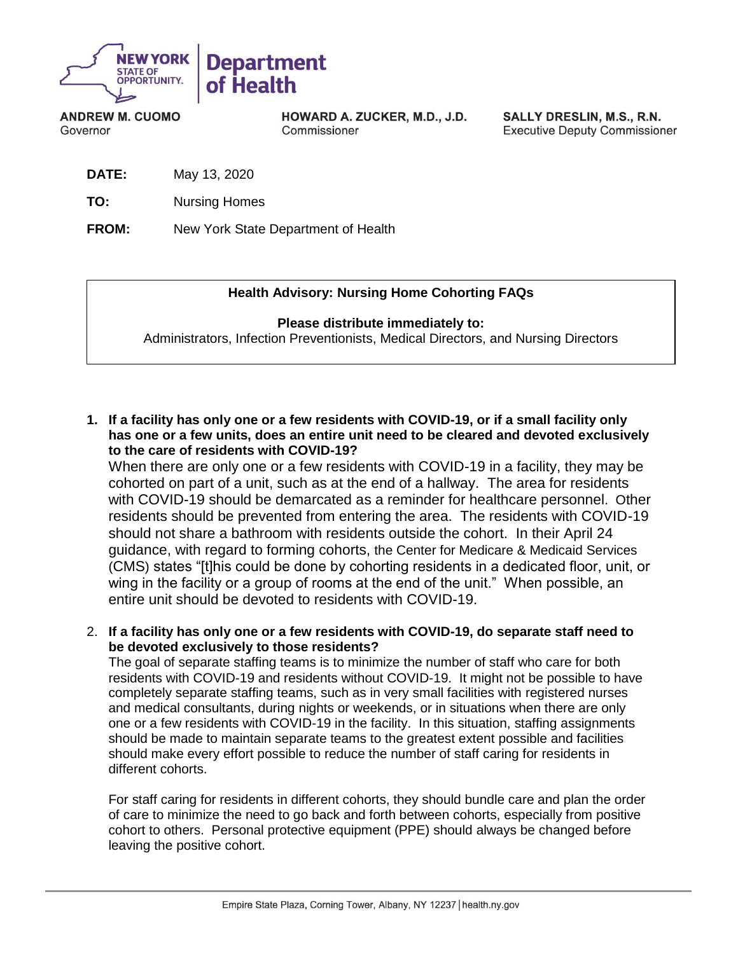

**ANDREW M. CUOMO** Governor

HOWARD A. ZUCKER, M.D., J.D. Commissioner

SALLY DRESLIN, M.S., R.N. **Executive Deputy Commissioner** 

**DATE:** May 13, 2020

**TO:** Nursing Homes

**FROM:** New York State Department of Health

## **Health Advisory: Nursing Home Cohorting FAQs**

## **Please distribute immediately to:**

Administrators, Infection Preventionists, Medical Directors, and Nursing Directors

**1. If a facility has only one or a few residents with COVID-19, or if a small facility only has one or a few units, does an entire unit need to be cleared and devoted exclusively to the care of residents with COVID-19?**

When there are only one or a few residents with COVID-19 in a facility, they may be cohorted on part of a unit, such as at the end of a hallway. The area for residents with COVID-19 should be demarcated as a reminder for healthcare personnel. Other residents should be prevented from entering the area. The residents with COVID-19 should not share a bathroom with residents outside the cohort. In their April 24 guidance, with regard to forming cohorts, the Center for Medicare & Medicaid Services (CMS) states "[t]his could be done by cohorting residents in a dedicated floor, unit, or wing in the facility or a group of rooms at the end of the unit." When possible, an entire unit should be devoted to residents with COVID-19.

2. **If a facility has only one or a few residents with COVID-19, do separate staff need to be devoted exclusively to those residents?**

The goal of separate staffing teams is to minimize the number of staff who care for both residents with COVID-19 and residents without COVID-19. It might not be possible to have completely separate staffing teams, such as in very small facilities with registered nurses and medical consultants, during nights or weekends, or in situations when there are only one or a few residents with COVID-19 in the facility. In this situation, staffing assignments should be made to maintain separate teams to the greatest extent possible and facilities should make every effort possible to reduce the number of staff caring for residents in different cohorts.

For staff caring for residents in different cohorts, they should bundle care and plan the order of care to minimize the need to go back and forth between cohorts, especially from positive cohort to others. Personal protective equipment (PPE) should always be changed before leaving the positive cohort.